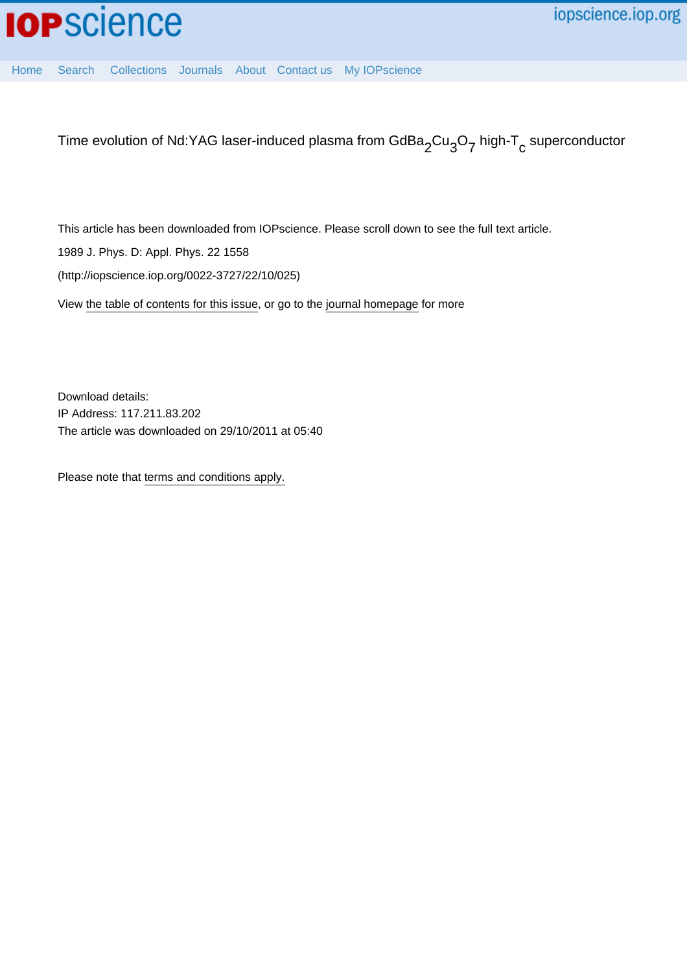[Home](http://iopscience.iop.org/) [Search](http://iopscience.iop.org/search) [Collections](http://iopscience.iop.org/collections) [Journals](http://iopscience.iop.org/journals) [About](http://iopscience.iop.org/page/aboutioppublishing) [Contact us](http://iopscience.iop.org/contact) [My IOPscience](http://iopscience.iop.org/myiopscience)

Time evolution of Nd:YAG laser-induced plasma from GdBa $_2$ Cu $_3$ O $_7$  high-T $_{\rm c}$  superconductor

This article has been downloaded from IOPscience. Please scroll down to see the full text article.

1989 J. Phys. D: Appl. Phys. 22 1558

(http://iopscience.iop.org/0022-3727/22/10/025)

View [the table of contents for this issue](http://iopscience.iop.org/0022-3727/22/10), or go to the [journal homepage](http://iopscience.iop.org/0022-3727) for more

Download details: IP Address: 117.211.83.202 The article was downloaded on 29/10/2011 at 05:40

Please note that [terms and conditions apply.](http://iopscience.iop.org/page/terms)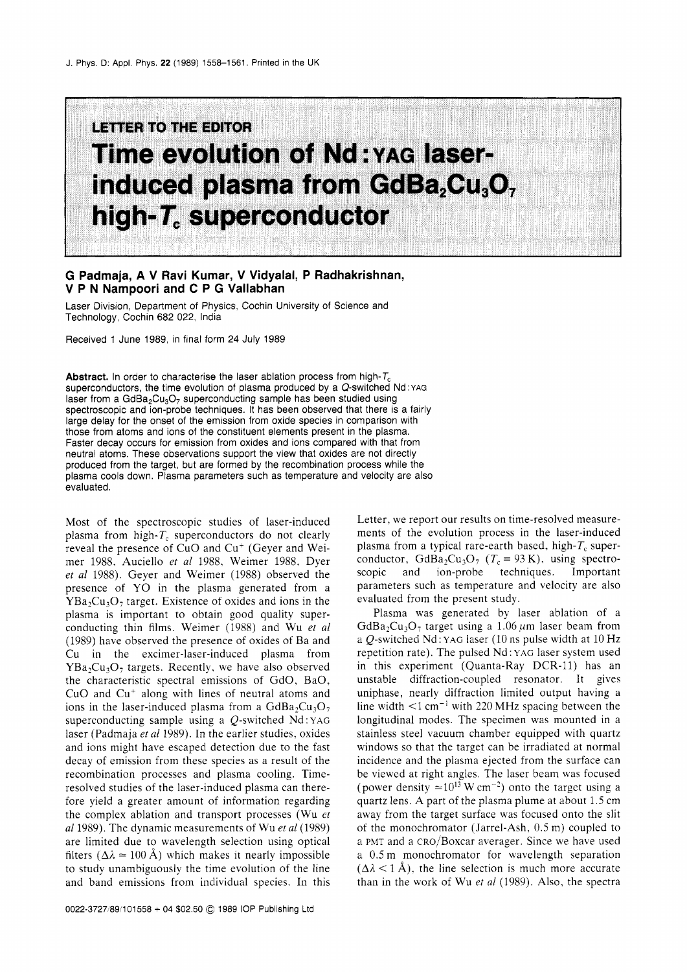## LIETTER TO THE EDITOR **Time evolution of Nd: YAG laser**induced plasma from GdBa<sub>2</sub>Cu<sub>3</sub>O<sub>7</sub> high-T. superconductor

## **G Padmaja, A V Ravi Kumar, V Vidyalal, P Radhakrishnan, V P N Nampoori and C P G Vallabhan**

Laser Division, Department of Physics, Cochin University of Science and Technology, Cochin 682 022, India

Received 1 June 1989, in final form 24 July 1989

**Abstract.** In order to characterise the laser ablation process from high-T<sub>c</sub> superconductors, the time evolution of plasma produced by a Q-switched Nd **:YAG**  laser from a  $GdBa_2Cu_3O_7$  superconducting sample has been studied using spectroscopic and ion-probe techniques. It has been observed that there is a fairly large delay for the onset of the emission from oxide species in comparison with those from atoms and ions of the constituent elements present in the plasma. Faster decay occurs for emission from oxides and ions compared with that from neutral atoms. These observations support the view that oxides are not directly produced from the target, but are formed by the recombination process while the plasma cools down. Plasma parameters such as temperature and velocity are also evaluated.

Most of the spectroscopic studies of laser-induced plasma from high- $T_c$  superconductors do not clearly reveal the presence of CuO and Cu<sup>+</sup> (Geyer and Weimer 1988, Auciello *er a1* 1988. Weimer 1988, Dyer *et a1* 1988). Geyer and Weimer (1988) observed the presence of YO in the plasma generated from a  $YBa<sub>2</sub>Cu<sub>3</sub>O<sub>7</sub>$  target. Existence of oxides and ions in the plasma is important to obtain good quality superconducting thin films. Weimer (1988) and Wu *er a1*  (1989) have observed the presence of oxides of Ba and Cu in the excimer-laser-induced plasma from  $YBa<sub>2</sub>Cu<sub>3</sub>O<sub>7</sub>$  targets. Recently, we have also observed the characteristic spectral emissions of GdO, BaO, CuO and Cu<sup>+</sup> along with lines of neutral atoms and ions in the laser-induced plasma from a  $GdBa_2Cu_3O_7$ superconducting sample using a  $Q$ -switched Nd: YAG laser (Padmaja *et a1* 1989). In the earlier studies, oxides and ions might have escaped detection due to the fast decay of emission from these species as a result of the recombination processes and plasma cooling. Timeresolved studies of the laser-induced plasma can therefore yield a greater amount of information regarding the complex ablation and transport processes (Wu *er*  al 1989). The dynamic measurements of Wu et al (1989) are limited due to wavelength selection using optical filters ( $\Delta \lambda \approx 100$  Å) which makes it nearly impossible to study unambiguously the time evolution of the line and band emissions from individual species. In this

Letter, we report our results on time-resolved measurements of the evolution process in the laser-induced plasma from a typical rare-earth based, high- $T_c$  superconductor, GdBa<sub>2</sub>Cu<sub>3</sub>O<sub>7</sub> ( $T_c = 93$  K), using spectroscopic and ion-probe techniques. Important parameters such as temperature and velocity are also evaluated from the present study.

Plasma was generated by laser ablation of a GdBa<sub>2</sub>Cu<sub>3</sub>O<sub>2</sub> target using a 1.06  $\mu$ m laser beam from a *O*-switched Nd: YAG laser (10 ns pulse width at  $10$  Hz repetition rate). The pulsed Nd : YAG laser system used in this experiment (Quanta-Ray DCR-11) has an unstable diffraction-coupled resonator. It gives uniphase, nearly diffraction limited output having a line width  $\leq 1$  cm<sup>-1</sup> with 220 MHz spacing between the longitudinal modes. The specimen was mounted in a stainless steel vacuum chamber equipped with quartz windows so that the target can be irradiated at normal incidence and the plasma ejected from the surface can be viewed at right angles. The laser beam was focused (power density  $\approx 10^{13}$  W cm<sup>-2</sup>) onto the target using a quartz lens. A part of the plasma plume at about 1.5 cm away from the target surface was focused onto the slit of the monochromator (Jarrel-Ash, 0.5 m) coupled to a PMT and a cRo/Boxcar averager. Since we have used a 0.5 m monochromator for wavelength separation  $(\Delta \lambda < 1 \text{ Å})$ , the line selection is much more accurate than in the work of Wu *er a1* (1989). Also, the spectra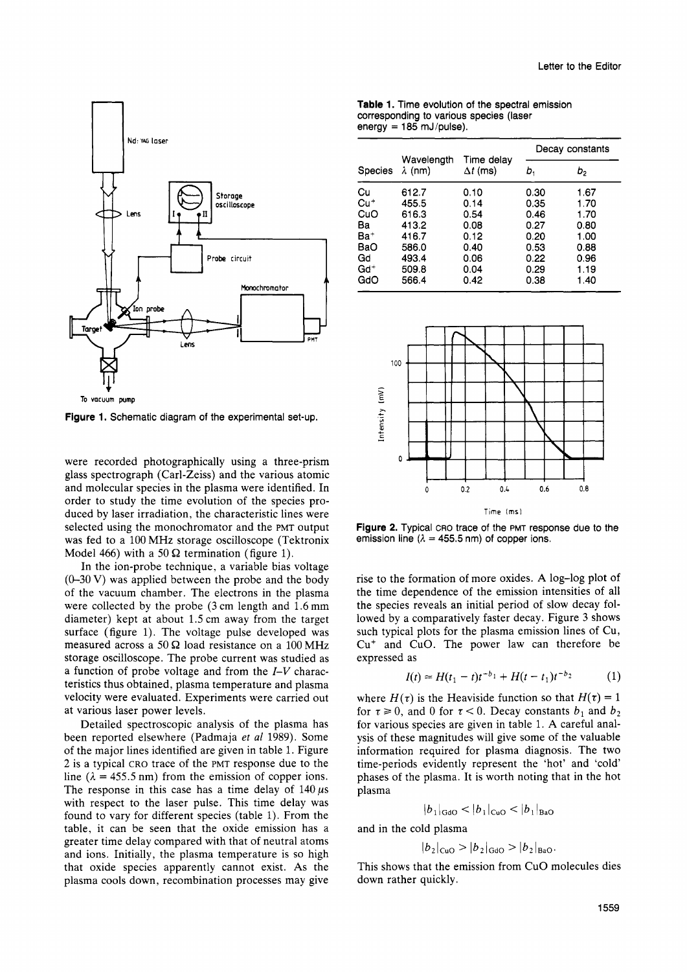

**To VOCUUM pump** 

**Figure 1.** Schematic diagram of the experimental set-up.

were recorded photographically using a three-prism glass spectrograph (Carl-Zeiss) and the various atomic and molecular species in the plasma were identified. In order to study the time evolution of the species produced by laser irradiation, the characteristic lines were selected using the monochromator and the **PMT** output was fed to a 100 MHz storage oscilloscope (Tektronix Model 466) with a 50  $\Omega$  termination (figure 1).

In the ion-probe technique, a variable bias voltage (0-30 **V)** was applied between the probe and the body of the vacuum chamber. The electrons in the plasma were collected by the probe **(3** cm length and 1.6 mm diameter) kept at about 1.5 cm away from the target surface (figure 1). The voltage pulse developed was measured across a 50 **S2** load resistance on a 100 MHz storage oscilloscope. The probe current was studied as a function of probe voltage and from the *I-V* characteristics thus obtained, plasma temperature and plasma velocity were evaluated, Experiments were carried out at various laser power levels.

Detailed spectroscopic analysis of the plasma has been reported elsewhere (Padmaja *er a1* 1989). Some of the major lines identified are given in table 1. Figure *2* is a typical CRO trace of the PMT response due to the line  $(\lambda = 455.5 \text{ nm})$  from the emission of copper ions. The response in this case has a time delay of  $140 \,\mu s$ with respect to the laser pulse. This time delay was found to vary for different species (table 1). From the table, it can be seen that the oxide emission has a greater time delay compared with that of neutral atoms and ions. Initially, the plasma temperature is so high that oxide species apparently cannot exist. **As** the plasma cools down, recombination processes may give

**Table 1.** Time evolution of the spectral emission corresponding to various species (laser energy = **185** mJ/pulse).

| Species         | Wavelength<br>$\lambda$ (nm) | Time delay<br>$\Delta t$ (ms) | Decay constants |      |  |
|-----------------|------------------------------|-------------------------------|-----------------|------|--|
|                 |                              |                               | ь.              | b,   |  |
| Cu              | 612.7                        | 0.10                          | 0.30            | 1.67 |  |
| Cu <sup>+</sup> | 455.5                        | 0.14                          | 0.35            | 1.70 |  |
| CuO             | 616.3                        | 0.54                          | 0.46            | 1.70 |  |
| Ва              | 413.2                        | 0.08                          | 0.27            | 0.80 |  |
| Ba <sup>+</sup> | 416.7                        | 0.12                          | 0.20            | 1.00 |  |
| BaO             | 586.0                        | 0.40                          | 0.53            | 0.88 |  |
| Gd              | 493.4                        | 0.06                          | 0.22            | 0.96 |  |
| Gd <sup>+</sup> | 509.8                        | 0.04                          | 0.29            | 1.19 |  |
| GdO             | 566.4                        | 0.42                          | 0.38            | 1.40 |  |



**Figure 2.** Typical CRO trace of the **PMT** response due to the emission line  $(\lambda = 455.5 \text{ nm})$  of copper ions.

rise to the formation of more oxides. **A** log-log plot of the time dependence of the emission intensities of all the species reveals an initial period of slow decay followed by a comparatively faster decay. Figure *3* shows such typical plots for the plasma emission lines of Cu, Cu+ and CuO. The power law can therefore be expressed as

$$
I(t) \approx H(t_1 - t)t^{-b_1} + H(t - t_1)t^{-b_2}
$$
 (1)

where  $H(\tau)$  is the Heaviside function so that  $H(\tau) = 1$ for  $\tau \ge 0$ , and 0 for  $\tau < 0$ . Decay constants  $b_1$  and  $b_2$ for various species are given in table 1. **A** careful analysis of these magnitudes will give some of the valuable information required for plasma diagnosis. The two time-periods evidently represent the 'hot' and 'cold' phases of the plasma. It is worth noting that in the hot plasma

$$
|b_1|_{\text{GdO}} < |b_1|_{\text{CuO}} < |b_1|_{\text{BaO}}
$$

and in the cold plasma

$$
b_2|_{\text{CuO}} > |b_2|_{\text{GdO}} > |b_2|_{\text{BaO}}.
$$

 $|b_1|_{\text{GdO}} < |b_1|_{\text{CuO}} < |b_1|_{\text{BaO}}$ <br>
and in the cold plasma<br>  $|b_2|_{\text{CuO}} > |b_2|_{\text{GdO}} > |b_2|_{\text{BaO}}$ .<br>
This shows that the emission from CuO molecules dies down rather quickly.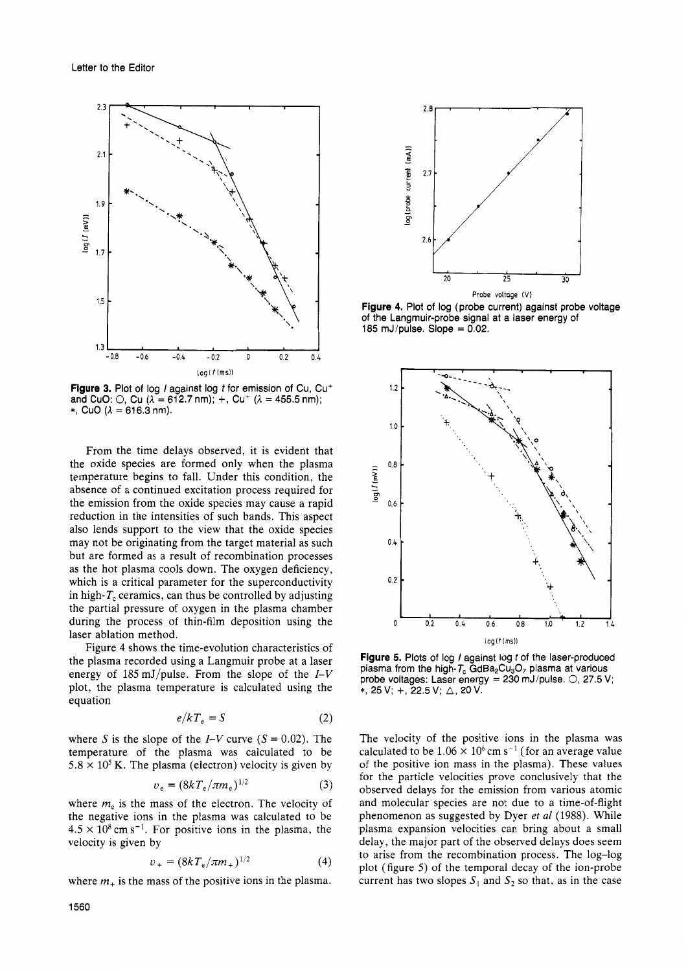

**Figure 3.** Plot of log *I* against log *t* for emission of Cu, Cu<sup>+</sup> and CuO:  $\bigcirc$ , Cu  $(\lambda = 612.7 \text{ nm})$ ; +, Cu<sup>+</sup>  $(\lambda = 455.5 \text{ nm})$ ; \*, CuO  $(\lambda = 616.3 \text{ nm})$ .

From the time delays observed, it is evident that the oxide species are formed only when the plasma temperature begins to fall. Under this condition, the absence of a continued excitation process required for the emission from the oxide species may cause a rapid reduction in the intensities of such bands. This aspect also lends support to the view that the oxide species may not be originating from the target material as such but are formed as a result of recombination processes as the hot plasma cools down. The oxygen deficiency, which is a critical parameter for the superconductivity in high- $T_c$  ceramics, can thus be controlled by adjusting the partial pressure of oxygen in the plasma chamber during the process of thin-film deposition using the laser ablation method.

Figure **4** shows the time-evolution characteristics of the plasma recorded using a Langmuir probe at a laser energy of 185 mJ/pulse. From the slope of the *I-V*  plot, the plasma temperature is calculated using the equation

$$
e/kT_{\rm e} = S \tag{2}
$$

where S is the slope of the  $I-V$  curve  $(S = 0.02)$ . The temperature of the plasma was calculated to be  $5.8 \times 10^5$  K. The plasma (electron) velocity is given by

$$
v_e = (8kT_e/\pi m_e)^{1/2}
$$
 (3)

where  $m<sub>e</sub>$  is the mass of the electron. The velocity of the negative ions in the plasma was calculated to be  $4.5 \times 10^8$  cm s<sup>-1</sup>. For positive ions in the plasma, the velocity is given by

$$
v_{+} = (8kT_{e}/\pi m_{+})^{1/2}
$$
 (4)

where  $m<sub>+</sub>$  is the mass of the positive ions in the plasma.



**Figure 4.** Plot of log (probe current) against probe voltage of the Langmuir-probe signal at a laser energy of 185 mJ/pulse. Slope  $= 0.02$ .



**Figure 5.** Plots of log *I* against log *t* of the laser-produced plasma from the high- $T_c$  GdBa<sub>2</sub>Cu<sub>3</sub>O<sub>7</sub> plasma at various probe voltages: Laser energy = 230 mJ/pulse. *0,* 27.5 V; \*, 25 V; +, 22.5 V; △, 20 V.

The velocity of the positive ions in the plasma was calculated to be  $1.06 \times 10^6$  cm s<sup>-1</sup> (for an average value of the positive ion mass in the plasma). These values for the particle velocities prove conclusively that the observed delays for the emission from various atomic and molecular species are not due to a time-of-flight phenomenon as suggested by Dyer *et a1* (1988). While plasma expansion velocities can bring about a small delay, the major part of the observed delays does seem to arise from the recombination process. The log-log plot (figure *5)* of the temporal decay of the ion-probe current has two slopes  $S_1$  and  $S_2$  so that, as in the case